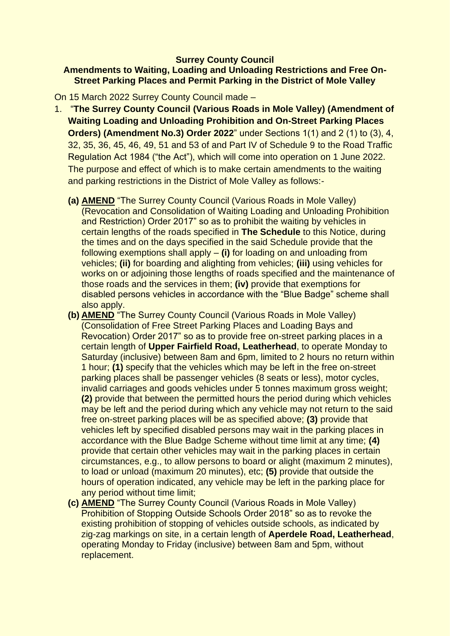# **Surrey County Council**

# **Amendments to Waiting, Loading and Unloading Restrictions and Free On-Street Parking Places and Permit Parking in the District of Mole Valley**

On 15 March 2022 Surrey County Council made –

- 1. "**The Surrey County Council (Various Roads in Mole Valley) (Amendment of Waiting Loading and Unloading Prohibition and On-Street Parking Places Orders) (Amendment No.3) Order 2022**" under Sections 1(1) and 2 (1) to (3), 4, 32, 35, 36, 45, 46, 49, 51 and 53 of and Part IV of Schedule 9 to the Road Traffic Regulation Act 1984 ("the Act"), which will come into operation on 1 June 2022. The purpose and effect of which is to make certain amendments to the waiting and parking restrictions in the District of Mole Valley as follows:-
	- **(a) AMEND** "The Surrey County Council (Various Roads in Mole Valley) (Revocation and Consolidation of Waiting Loading and Unloading Prohibition and Restriction) Order 2017" so as to prohibit the waiting by vehicles in certain lengths of the roads specified in **The Schedule** to this Notice, during the times and on the days specified in the said Schedule provide that the following exemptions shall apply – **(i)** for loading on and unloading from vehicles; **(ii)** for boarding and alighting from vehicles; **(iii)** using vehicles for works on or adjoining those lengths of roads specified and the maintenance of those roads and the services in them; **(iv)** provide that exemptions for disabled persons vehicles in accordance with the "Blue Badge" scheme shall also apply.
	- **(b) AMEND** "The Surrey County Council (Various Roads in Mole Valley) (Consolidation of Free Street Parking Places and Loading Bays and Revocation) Order 2017" so as to provide free on-street parking places in a certain length of **Upper Fairfield Road, Leatherhead**, to operate Monday to Saturday (inclusive) between 8am and 6pm, limited to 2 hours no return within 1 hour; **(1)** specify that the vehicles which may be left in the free on-street parking places shall be passenger vehicles (8 seats or less), motor cycles, invalid carriages and goods vehicles under 5 tonnes maximum gross weight; **(2)** provide that between the permitted hours the period during which vehicles may be left and the period during which any vehicle may not return to the said free on-street parking places will be as specified above; **(3)** provide that vehicles left by specified disabled persons may wait in the parking places in accordance with the Blue Badge Scheme without time limit at any time; **(4)**  provide that certain other vehicles may wait in the parking places in certain circumstances, e.g., to allow persons to board or alight (maximum 2 minutes), to load or unload (maximum 20 minutes), etc; **(5)** provide that outside the hours of operation indicated, any vehicle may be left in the parking place for any period without time limit;
	- **(c) AMEND** "The Surrey County Council (Various Roads in Mole Valley) Prohibition of Stopping Outside Schools Order 2018" so as to revoke the existing prohibition of stopping of vehicles outside schools, as indicated by zig-zag markings on site, in a certain length of **Aperdele Road, Leatherhead**, operating Monday to Friday (inclusive) between 8am and 5pm, without replacement.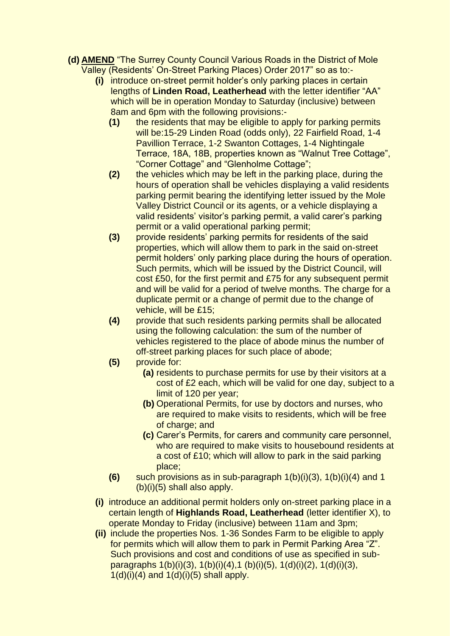- **(d) AMEND** "The Surrey County Council Various Roads in the District of Mole Valley (Residents' On-Street Parking Places) Order 2017" so as to:-
	- **(i)** introduce on-street permit holder's only parking places in certain lengths of **Linden Road, Leatherhead** with the letter identifier "AA" which will be in operation Monday to Saturday (inclusive) between 8am and 6pm with the following provisions:-
		- **(1)** the residents that may be eligible to apply for parking permits will be:15-29 Linden Road (odds only), 22 Fairfield Road, 1-4 Pavillion Terrace, 1-2 Swanton Cottages, 1-4 Nightingale Terrace, 18A, 18B, properties known as "Walnut Tree Cottage", "Corner Cottage" and "Glenholme Cottage";
		- **(2)** the vehicles which may be left in the parking place, during the hours of operation shall be vehicles displaying a valid residents parking permit bearing the identifying letter issued by the Mole Valley District Council or its agents, or a vehicle displaying a valid residents' visitor's parking permit, a valid carer's parking permit or a valid operational parking permit;
		- **(3)** provide residents' parking permits for residents of the said properties, which will allow them to park in the said on-street permit holders' only parking place during the hours of operation. Such permits, which will be issued by the District Council, will cost £50, for the first permit and £75 for any subsequent permit and will be valid for a period of twelve months. The charge for a duplicate permit or a change of permit due to the change of vehicle, will be £15;
		- **(4)** provide that such residents parking permits shall be allocated using the following calculation: the sum of the number of vehicles registered to the place of abode minus the number of off-street parking places for such place of abode;
		- **(5)** provide for:
			- **(a)** residents to purchase permits for use by their visitors at a cost of £2 each, which will be valid for one day, subject to a limit of 120 per year;
			- **(b)** Operational Permits, for use by doctors and nurses, who are required to make visits to residents, which will be free of charge; and
			- **(c)** Carer's Permits, for carers and community care personnel, who are required to make visits to housebound residents at a cost of £10; which will allow to park in the said parking place;
		- **(6)** such provisions as in sub-paragraph 1(b)(i)(3), 1(b)(i)(4) and 1 (b)(i)(5) shall also apply.
	- **(i)** introduce an additional permit holders only on-street parking place in a certain length of **Highlands Road, Leatherhead** (letter identifier X), to operate Monday to Friday (inclusive) between 11am and 3pm;
	- **(ii)** include the properties Nos. 1-36 Sondes Farm to be eligible to apply for permits which will allow them to park in Permit Parking Area "Z". Such provisions and cost and conditions of use as specified in subparagraphs 1(b)(i)(3), 1(b)(i)(4),1 (b)(i)(5), 1(d)(i)(2), 1(d)(i)(3),  $1(d)(i)(4)$  and  $1(d)(i)(5)$  shall apply.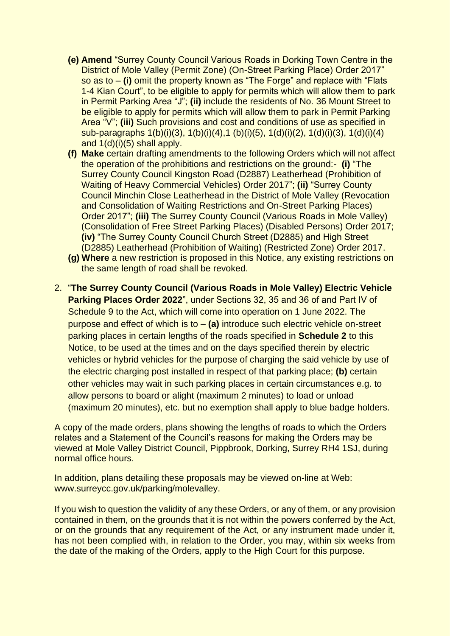- **(e) Amend** "Surrey County Council Various Roads in Dorking Town Centre in the District of Mole Valley (Permit Zone) (On-Street Parking Place) Order 2017" so as to – **(i)** omit the property known as "The Forge" and replace with "Flats 1-4 Kian Court", to be eligible to apply for permits which will allow them to park in Permit Parking Area "J"; **(ii)** include the residents of No. 36 Mount Street to be eligible to apply for permits which will allow them to park in Permit Parking Area "V"; **(iii)** Such provisions and cost and conditions of use as specified in sub-paragraphs 1(b)(i)(3), 1(b)(i)(4),1 (b)(i)(5), 1(d)(i)(2), 1(d)(i)(3), 1(d)(i)(4) and 1(d)(i)(5) shall apply.
- **(f) Make** certain drafting amendments to the following Orders which will not affect the operation of the prohibitions and restrictions on the ground:- **(i)** "The Surrey County Council Kingston Road (D2887) Leatherhead (Prohibition of Waiting of Heavy Commercial Vehicles) Order 2017"; **(ii)** "Surrey County Council Minchin Close Leatherhead in the District of Mole Valley (Revocation and Consolidation of Waiting Restrictions and On-Street Parking Places) Order 2017"; **(iii)** The Surrey County Council (Various Roads in Mole Valley) (Consolidation of Free Street Parking Places) (Disabled Persons) Order 2017; **(iv)** "The Surrey County Council Church Street (D2885) and High Street (D2885) Leatherhead (Prohibition of Waiting) (Restricted Zone) Order 2017.
- **(g) Where** a new restriction is proposed in this Notice, any existing restrictions on the same length of road shall be revoked.
- 2. "**The Surrey County Council (Various Roads in Mole Valley) Electric Vehicle Parking Places Order 2022**", under Sections 32, 35 and 36 of and Part IV of Schedule 9 to the Act, which will come into operation on 1 June 2022. The purpose and effect of which is to – **(a)** introduce such electric vehicle on-street parking places in certain lengths of the roads specified in **Schedule 2** to this Notice, to be used at the times and on the days specified therein by electric vehicles or hybrid vehicles for the purpose of charging the said vehicle by use of the electric charging post installed in respect of that parking place; **(b)** certain other vehicles may wait in such parking places in certain circumstances e.g. to allow persons to board or alight (maximum 2 minutes) to load or unload (maximum 20 minutes), etc. but no exemption shall apply to blue badge holders.

A copy of the made orders, plans showing the lengths of roads to which the Orders relates and a Statement of the Council's reasons for making the Orders may be viewed at Mole Valley District Council, Pippbrook, Dorking, Surrey RH4 1SJ, during normal office hours.

In addition, plans detailing these proposals may be viewed on-line at Web: www.surreycc.gov.uk/parking/molevalley.

If you wish to question the validity of any these Orders, or any of them, or any provision contained in them, on the grounds that it is not within the powers conferred by the Act, or on the grounds that any requirement of the Act, or any instrument made under it, has not been complied with, in relation to the Order, you may, within six weeks from the date of the making of the Orders, apply to the High Court for this purpose.